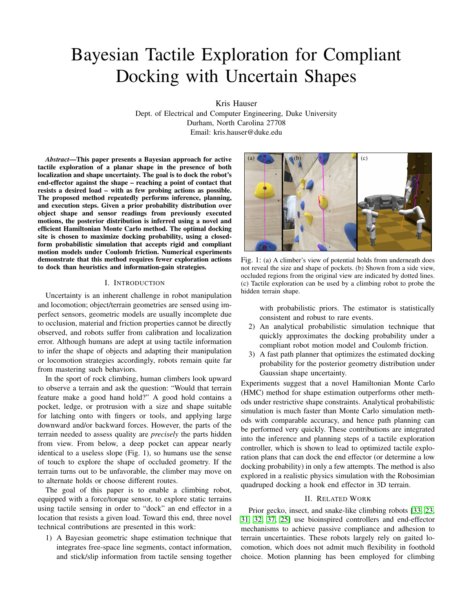# Bayesian Tactile Exploration for Compliant Docking with Uncertain Shapes

Kris Hauser

Dept. of Electrical and Computer Engineering, Duke University Durham, North Carolina 27708 Email: kris.hauser@duke.edu

*Abstract*—This paper presents a Bayesian approach for active tactile exploration of a planar shape in the presence of both localization and shape uncertainty. The goal is to dock the robot's end-effector against the shape – reaching a point of contact that resists a desired load – with as few probing actions as possible. The proposed method repeatedly performs inference, planning, and execution steps. Given a prior probability distribution over object shape and sensor readings from previously executed motions, the posterior distribution is inferred using a novel and efficient Hamiltonian Monte Carlo method. The optimal docking site is chosen to maximize docking probability, using a closedform probabilistic simulation that accepts rigid and compliant motion models under Coulomb friction. Numerical experiments demonstrate that this method requires fewer exploration actions to dock than heuristics and information-gain strategies.

#### I. INTRODUCTION

Uncertainty is an inherent challenge in robot manipulation and locomotion; object/terrain geometries are sensed using imperfect sensors, geometric models are usually incomplete due to occlusion, material and friction properties cannot be directly observed, and robots suffer from calibration and localization error. Although humans are adept at using tactile information to infer the shape of objects and adapting their manipulation or locomotion strategies accordingly, robots remain quite far from mastering such behaviors.

In the sport of rock climbing, human climbers look upward to observe a terrain and ask the question: "Would that terrain feature make a good hand hold?" A good hold contains a pocket, ledge, or protrusion with a size and shape suitable for latching onto with fingers or tools, and applying large downward and/or backward forces. However, the parts of the terrain needed to assess quality are *precisely* the parts hidden from view. From below, a deep pocket can appear nearly identical to a useless slope (Fig. 1), so humans use the sense of touch to explore the shape of occluded geometry. If the terrain turns out to be unfavorable, the climber may move on to alternate holds or choose different routes.

The goal of this paper is to enable a climbing robot, equipped with a force/torque sensor, to explore static terrains using tactile sensing in order to "dock" an end effector in a location that resists a given load. Toward this end, three novel technical contributions are presented in this work:

1) A Bayesian geometric shape estimation technique that integrates free-space line segments, contact information, and stick/slip information from tactile sensing together



Fig. 1: (a) A climber's view of potential holds from underneath does not reveal the size and shape of pockets. (b) Shown from a side view, occluded regions from the original view are indicated by dotted lines. (c) Tactile exploration can be used by a climbing robot to probe the hidden terrain shape.

with probabilistic priors. The estimator is statistically consistent and robust to rare events.

- 2) An analytical probabilistic simulation technique that quickly approximates the docking probability under a compliant robot motion model and Coulomb friction.
- 3) A fast path planner that optimizes the estimated docking probability for the posterior geometry distribution under Gaussian shape uncertainty.

Experiments suggest that a novel Hamiltonian Monte Carlo (HMC) method for shape estimation outperforms other methods under restrictive shape constraints. Analytical probabilistic simulation is much faster than Monte Carlo simulation methods with comparable accuracy, and hence path planning can be performed very quickly. These contributions are integrated into the inference and planning steps of a tactile exploration controller, which is shown to lead to optimized tactile exploration plans that can dock the end effector (or determine a low docking probability) in only a few attempts. The method is also explored in a realistic physics simulation with the Robosimian quadruped docking a hook end effector in 3D terrain.

## II. RELATED WORK

Prior gecko, insect, and snake-like climbing robots [\[33,](#page-9-0) [23,](#page-8-0) [31,](#page-9-1) [32,](#page-9-2) [37,](#page-9-3) [25\]](#page-8-1) use bioinspired controllers and end-effector mechanisms to achieve passive compliance and adhesion to terrain uncertainties. These robots largely rely on gaited locomotion, which does not admit much flexibility in foothold choice. Motion planning has been employed for climbing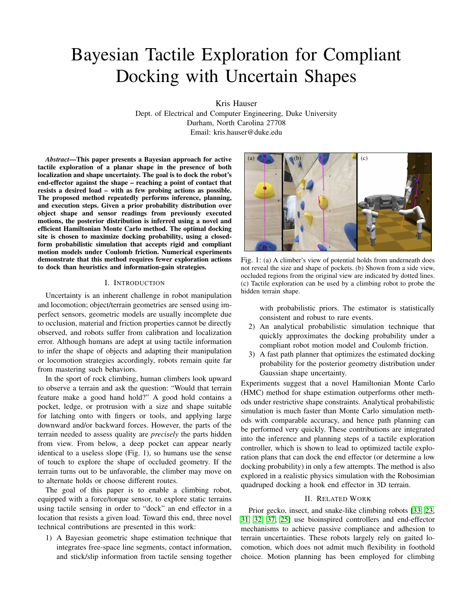robots to choose footholds in non-gaited fashion while verifying the existence of equilibrium postures [\[1\]](#page-8-2), but these algorithms assume precise actuation and terrain modeling.

In the context of legged locomotion on uneven ground, tactile feedback has been explored for state estimation [\[7\]](#page-8-3) and terrain property estimation [\[11\]](#page-8-4). Tactile sensing has proven to be a useful modality in robot manipulation to estimate object properties, such as friction, pose, and shape in the presence of visual sensing error and missing data due to occlusion [\[15\]](#page-8-5). Prior work can be grouped into three categories: *passive estimation*, *uncertainty-aware grasping*, and *active exploration*.

Passive contact has been used for state estimation of legged robots by fusing inertial readings with either known terrains [\[2\]](#page-8-6) or unknown terrain shape observed by sensors [\[7\]](#page-8-3). Tactile sensors have been used to classify terrain friction and local shapes of contact points [\[11\]](#page-8-4). Machine learning techniques have been used to characterize terrain from visual and tactile sensors, which has been used to predict robustness of footholds [\[12\]](#page-8-7) or adapt the gaits of a hexapod to optimize movement speed [\[34\]](#page-9-4). In manipulation, tactile feedback has been used for localization [\[27\]](#page-8-8) and shape classification [\[22\]](#page-8-9) of familiar objects. It has also been used for estimating the location of distinctive features like buttons in textiles [\[29\]](#page-9-5) and localizing flat objects using texture and high-resolution tactile sensors [\[21\]](#page-8-10). A more difficult problem is simultaneous localization and shape estimation, since the unknown shape model must account for collision between fingers and unknown geometry. Prior work in this area typically uses probabilistic point cloud models [\[15\]](#page-8-5) and Gaussian processes [\[4,](#page-8-11) [20,](#page-8-12) [36\]](#page-9-6) that add point contacts and sensed points as constraints.

Our novel shape inference technique makes use of free space movement and slip detection in addition to contact information. The geometric consistency constraints used in this paper are similar to those proposed by Grimson and Lozano-Perez [\[8\]](#page-8-13). However, here they are used in a probabilistic setting to infer distributions of terrain shape rather than binary consistency. Hence, our method is similar to the manifold particle filter method proposed for using contact information for object localization in pushing [\[19\]](#page-8-14). The Markov Chain Monte Carlo (MCMC) method proposed here does not permit object movement, but is statistically consistent, i.e., converges to the true probability as more samples are drawn.

Uncertainty-aware grasping incorporates uncertainty into grasp planning by optimizing probabilistic measures (e.g., success probability) for 2D grasps [\[3\]](#page-8-15) and 3D grasps [\[14\]](#page-8-16). Each of these techniques uses sampling for success probability estimation, which is advantageous for parametric object models [\[10\]](#page-8-17) and deformable object shape [\[3\]](#page-8-15) because standard simulation techniques can be used for each sample to determine success. However, sampling can be slow, in particular in the absence of good heuristics to restrict number of grasp alternatives [\[14\]](#page-8-16).

Active tactile exploration schemes can be purely information-gathering or goal-directed. Information gathering has been applied to object shape and friction acquisition using compliant sliding, using Gaussian process models of shape and surface friction [\[30\]](#page-9-7). Information gain has been used as a metric for choosing localization actions before manipulating an object [\[10\]](#page-8-17) and for addressing the exploration vs exploitation tradeoff in goal-directed grasping [\[5\]](#page-8-18).

Partially-observable Markov decision processes (POMDP) are a principled approach to optimize active goal-directed manipulation [\[13,](#page-8-19) [18\]](#page-8-20), but require discrete state, action, and observation spaces. Recent work has developed an RRT-like motion planner for compliant robots that explores continuous state and action spaces, while representing uncertain beliefs using particles [\[28\]](#page-9-8). This can be computationally expensive. The current work introduces a fast Gaussian docking probability estimator that is related to the collision probability method of Patil et al [\[26\]](#page-8-21). Novel contributions include the simulation of compliant motion with friction, and an improved probability estimate using truncated bivariate Gaussians rather than univariate ones.

## III. SUMMARY OF METHOD

#### *A. Problem Setup*

*1) Probabilistic shape model:* The shape S <sup>2</sup> is represented by its boundary  $\partial S$ , which is approximated as a polygonal mesh with vertices  $V = (v_1, \ldots, v_n)$  and edges  $E$  V V. The vertices are also represented as a stacked  $2n$ dimensional vector  $x$ . The true vertex positions are unknown, so  $X$  denotes the random variable corresponding to  $x$ . The topology of the shape (i.e.,  $E$ ) is assumed known, and edges are oriented in CCW direction around S. The prior joint distribution  $P(X)$  includes shape and localization uncertainty.

The elements of  $X$  are highly correlated. For example, localization uncertainty makes it more likely to observe a constant shift in translation or rotation across all vertices, rather than a partial shifting of the shape. Also, nearby points on the shape tend to be more correlated than distant points.

 $P(X)$  is assumed to be well-approximated by a Gaussian of the form X  $N(\mu_X, \chi)$ . We assume  $\chi = A^T A$  is the product of a 2n m *basis matrix* A so that  $X = AZ + \mu_X$  is an affine transform of a zero mean, unit variance normal variable  $Z = N(0, I_m)$ . The basis matrix A provides a convenient form to encode independence assumptions between different sources of uncertainty.

*2) Robot motion model:* For simplicity, the robot is assumed to be a point and the shape is assumed static. It is possible to relax the point robot assumption to handle a translating polygon, since the C-space obstacle has a polygonal shape. The robot has known position relative to the reference frame. To handle localization uncertainty, this reference frame can be taken as the egocentric frame, while  $P(X)$  captures the localization error. The robot moves along a 2D path using guarded moves [\[16\]](#page-8-22), which trigger a stop when the force felt by the robot exceeds a threshold.

Our method can include a *compliant motion model* that allows compliance perpendicular to the direction of motion. The robot may then slide against the shape, and the contact force obeys Coulomb friction. The surface friction is estimated, but the method is tolerant to errors in friction estimate.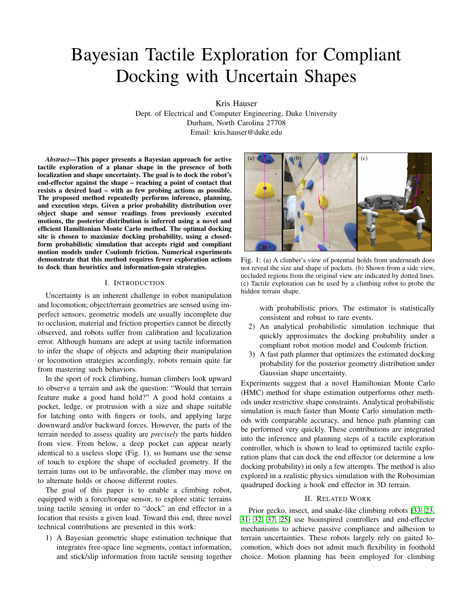

Fig. 2: (a) Bayesian tactile exploration to achieve a diagonally pulling load, with no compliance. The estimated shape distribution is shown in grey and the ground truth is drawn in black. Upon executing the initial plan to the lower ledge, the robot makes contact but slips, and the shape distribution is updated for consistency with the freespace and slip information. (b) An alternate site on the upper edge is chosen. (c) This again slips, and the third plan successfully docks against a notch near the first site.

*3) Objective function and sensors:* The docking objective is to stop at a point in contact with the shape  $p \nightharpoonup 2 \partial S$  such that a desired loading force  $f_{load}$  is entirely canceled by the friction forces available at  $p$ . In practice this is tested by having the final motion of the robot move in the direction  $f_{load}$  and checking if it sticks or jams. The robot attempts to minimize the amount of time before the loading force is acquired.

The information available to the robot is represented by line segments  $ab$ <sup>2</sup>, annotated by their collision status s ("free" or "colliding"). Free segments help eliminate shape hypotheses in a manner similar to space carving for 3D shape estimation [9]. If the robot's force sensor provides enough information to estimate the stick/slip status of the various segments, we may also represent collision status flags "stick," "slip left," and "slip right." Here left and right indicate CCW and CW from the motion direction, respectively.

#### *B. Bayesian Tactile Exploration Method*

During exploration, the robot records the information from sensor readings  $I_i = (s_i, a_i, b_i), i = 1, \dots, k$  as a history variable H, which is initially empty. It repeats several *exploration cycles*, each of which consists of the following steps:

- 1) Inference: infer the posterior distribution  $P(X/H)$  of shape given history. (Sec. IV)
- 2) Optimization: Optimize the robot's path  $p(t)$  to maximize a weighted sum of estimated docking probability  $P$ (dock/ $p(t)$ , H) and an exploration bonus. (Sec. V)
- 3) Execution: Execute  $p(t)$ . If the robot docks successfully, we are done. Otherwise, back up to a non-colliding point, record the sensor data in  $m$  new information segments  $I_{k+1},..., I_{k+m}$  into the history:  $H$  H [  $fI_{k+1},..., I_{k+m}$ g, and repeat from step 1.

Execution also stops with failure if the docking probability drops below a threshold, which is set to 0.001 in our experiments. A successful three-cycle execution is shown in Fig. 2.

#### IV. CONSTRAINED MONTE CARLO SHAPE INFERENCE

To infer the shape distribution given history, we use Monte Carlo (MC) methods to draw a finite sample set from the true posterior distribution. The sample set will serve as an estimate of the distribution of shape (mean, covariance, and bounds) that improves in accuracy as more samples are drawn.

## *A. History consistency constraints*

The posterior distribution of shapes conditioned on consistency with the sensor history  $H = fI_i = (a_i, b_i, s_i)$   $ji =$ 1,..., kg can be expressed using Bayes' rule:  $P(x/H) = P(H/x)P(x)$  Let S, denote the change of S given that the vertex  $\frac{P(X)P(X)}{P(H)}$ . Let  $S_X$  denote the shape of S given that the vertex positions are given by state  $x$ . Under the assumption of perfect sensor information,  $P(H/x) = 1$  if H is consistent with  $S_x$ , and  $P(H/x) = 0$  otherwise. Hence,  $P(x/H) \nearrow P(x)$  if  $S_x$  is consistent with H, and  $P(x/H) = 0$  otherwise.

- History consistency imposes the following conditions:
- 1)  $\partial S_x$  does not overlap any *free* segment  $a_i b_i$ .
- 2)  $\partial S_x$  overlaps all *colliding* segments  $a_i b_i$ .

We represent these conditions as mathematical inequalities. For each free segment, we require that:

$$
f_{\text{free};a_i;b_i}(x) = \max_{(u,v)\geq E} (\max_{k} g_k(a_i,b_i,x_u,x_v)) \quad 0 \quad (1)
$$

where  $x_u, x_v$  are the endpoints of an edge  $(u, v)$  specified by state x, and  $g_k$ ,  $k = 1, \ldots, 4$  are the segment-segment collision constraints as defined in Sec. IV-B (Fig. 3, left). For each colliding segment, we require that

$$
f_{\text{coll};a_i;b_i}(x) = \min_{(u,v)\,2\in\mathbb{R}} (\max_{k} g_k(a_i,b_i,x_u,x_v)) \quad 0. \tag{2}
$$

Note that there is a nested minimum and maximum in this expression because only one edge of the shape needs to collide. This condition can also be interpreted as a boolean disjunction.

Moreover, if stick/slip information is available for a colliding segment  $a<sub>i</sub>b<sub>i</sub>$ , then the angle of the shape normal relative to the motion direction is constrained. Specifically:

- 1)  $b_i \ddot{\varphi}_i$  2 Cone( $n_{x,p}$  +  $\mu t_{x,p}, n_{x,p}$   $\mu t_{x,p}$ ) if  $s_i$  = *stick*.
- 2)  $b_ia_i \nsubseteq Cone(n_{x;p} + \mu t_{x;p}, n_{x;p} \mu t_{x;p})$  if  $s_i = slip$ .

Here,  $\dot{x}y$  y x, the first point of collision is denoted p, and the normal and tangent directions of  $\partial S_x$  at p are denoted  $n_{X,D}$  and  $t_{X,D}$ , respectively. As we shall see in Sec. IV-C, these conditions add 2 additional constraints to (2), for a total of 6 constraints per edge (Fig. 3, right).

Overall, a shape  $x$  is history-consistent iff it satisfies

<span id="page-2-0"></span>
$$
f_H(x) = \max_{(s;a;b) \ge H} f_{s;a;b}(x)
$$
 0. (3)

# *B. Segment-segment collision constraints*

Two planar segments  $\overline{ab}$  and  $\overline{cd}$  collide if and only if there exists a solution  $(u, v)$  to the system of equations

$$
a + u \quad ab = c + v \quad cd, \quad \text{with } 0 \quad u, v \quad 1. \tag{4}
$$

Solving for  $(u, v)$  via 2x2 matrix inversion we get

$$
\begin{bmatrix} u \\ v \end{bmatrix} = \frac{1}{\alpha} \begin{bmatrix} c_2 & d_2 & d_1 & c_1 \\ a_2 & b_2 & b_1 & a_1 \end{bmatrix} \begin{bmatrix} c_1 & a_1 \\ c_2 & a_2 \end{bmatrix}
$$
 (5)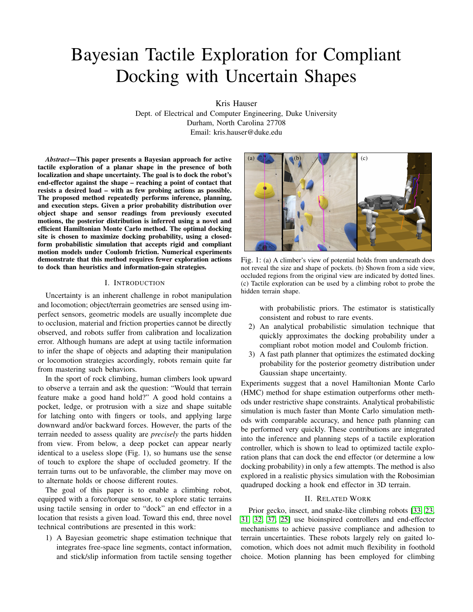

Fig. 3: Left: segment collision violations in cases (I)–(IV) correspond to violations of quadratic and linear inequalities (7)–(10), respectively. Right: stick constraint violations in cases (V) and (VI) correspond to violations of the respective elements of (12).

with  $\alpha = (b_1 \quad a_1)(c_2 \quad d_2) \quad (c_1 \quad d_1)(b_2 \quad a_2)$  the determinant. Assuming  $\alpha > 0$ , that is, that *ab* is CCW from *cd*, the original condition can then be rewritten as

$$
0 \quad \left[\begin{array}{cc} c_2 & d_2 & d_1 & c_1 \\ a_2 & b_2 & b_1 & a_1 \end{array}\right] \left[\begin{array}{cc} c_1 & a_1 \\ c_2 & a_2 \end{array}\right] \quad \alpha \tag{6}
$$

which is a quadratic inequality. Specifically, if we let  $y =$  $(c_1, c_2, d_1, d_2)$  denote the variables determining the coordinates of  $\overline{cd}$ , this can be rewritten as two quadratic inequalities and two linear inequalities

$$
y^T Q y + \begin{bmatrix} a_2 & a_1 & a_2 & a_1 \end{bmatrix} y \quad 0 \tag{7}
$$

$$
y^T Q y + \left[\begin{array}{cccc} b_2 & b_1 & b_2 & b_1 \end{array}\right] y \quad 0 \tag{8}
$$

$$
b_2 \quad a_2 \quad a_1 \quad b_1 \quad 0 \quad 0 \quad y + (a_2b_1 \quad a_1b_2) \quad 0 \quad (9)
$$

$$
0 \quad 0 \quad a_2 \quad b_2 \quad b_1 \quad a_1 \quad y + (a_1b_2 \quad a_2b_1) \quad 0. \tag{10}
$$

with Q a constant 4x4 matrix. (It can also be shown that  $\alpha = 0$ must hold if these equations are simultaneously satisfied.)

## *C. Segment stick/slip constraints*

 $\lceil$ 

 $\sqrt{2}$ 

Let the operator  $x^2$  on  $\mathbb{R}^2$  yield the CCW perpendicular vector  $(x_2, x_1)$ . For a motion along  $\overline{ab}$ , the *stick* condition requires

<span id="page-3-0"></span>
$$
\stackrel[n \to \infty]{\text{cone}}{dc^2 + \mu} \stackrel[n \to \infty]{dc^2} \mu \stackrel[n \to \infty]{dc}, \qquad (11)
$$

where *Cone* is the cone of positive combinations of its two arguments and  $\mu$  is the friction coefficient. The constraint x 2  $Cone(y_1, y_2)$  with  $x \neq \mathbb{R}^2$  is equivalent to two linear inequalities  $x^{\gamma}$   $y_1$  0,  $x^{\gamma}$   $y_2$  0 under the condition that  $y_1^T y_2$  0 (i.e.,  $y_2$  is clockwise from  $y_1$ ). This condition holds in  $(11)$ , so  $(11)$  can be rewritten as inequalities

<span id="page-3-4"></span>" µ !b2a<sup>2</sup> !b1a<sup>1</sup> !b2a<sup>2</sup> <sup>µ</sup> !b1a<sup>1</sup> µ !b2a<sup>2</sup> <sup>+</sup> !b1a<sup>1</sup> !b2a<sup>2</sup> <sup>µ</sup> !b1a<sup>1</sup> # !cd <sup>0</sup> (12)

that are linear over the vertex vector  $y = (c_1, c_2, d_1, d_2)$ . Moreover, the *slip left* condition is equivalent to  $b\mu$  2 Exercisely the *deligible perfect condition* is equivalent to  $\partial \mu \ge$ <br>Cone( $\partial c^2$ ,  $\mu dc$ , dc), and *slip right* is equivalent to ba) 2 Conc $(\psi c \mid \mu a c)$ , and stip right is equivalent to  $\partial a$   $\ge$ <br>Cone(dc, dc<sup>2</sup> +  $\mu$ dc). A similar derivation produces two linear inequalities in  $y$  for either case.

<span id="page-3-1"></span>

Fig. 4: Monte Carlo methods for constrained shape inference: (a) rejection sampling, (b) Metropolis-Hastings, (c) Gibbs sampling, and (d) Hamiltonian Monte Carlo. Black dots are accepted samples, white dots are rejected samples. The outlined shape illustrates the feasible set, blue paths illustrate a MCMC trajectory, and the dotted lines illustrate a sampling range.

## <span id="page-3-5"></span><span id="page-3-2"></span>*D. Constrained Monte Carlo Sampling*

<span id="page-3-3"></span>Monte-Carlo methods are the preferred approach to sample from distributions  $P(x/H)$  without having to compute  $P(H)$ . Without loss of generality, we shall sample a sequence  $z^{(1)}, \ldots, z^{(N)}$  from the isotropic Gaussian distribution z  $N(0, I_m)$  under the restriction  $f_H(Az + \mu_X)$  0.

The simplest method for constrained MC is *rejection sampling* (Fig. [4.](#page-3-1)a), which leads to an i.i.d. sequence. However, procedure can be extremely inefficient, as  $P(H)$  is often miniscule, and it will need to draw an expected  $N/P(H)$ samples to find  $N$  feasible ones. MCMC methods can lower the rejection rate, but at the cost of introducing dependence between subsequent samples (autocorrelation). As a baseline MCMC technique, *Metropolis-Hastings* (MH) takes small perturbations and accepts moves with a given acceptance probability (Fig. [4.](#page-3-1)b). Our experiments suggests MH performs poorly in constrained sampling due to strong autocorrelation.

We also consider the *Gibbs sampling* technique (Fig. [4.](#page-3-1)c), which has been applied to Gaussian distributions truncated by linear inequalities [\[17\]](#page-8-23). Each iteration samples the posterior distribution of a single element of the state along a given axis, keeping all other elements fixed. Specifically,  $z_i^{(j+1)}$   $P(z_i)H, z_1^{(j)}, \ldots, z_{i-1}^{(j)}, z_{i+1}^{(j)}, \ldots, z_m^{(j)})$ , with  $i = j$  mod m denoting the chosen element of the state vector. Customarily, every  $m$ 'th sample is kept and the rest discarded. This approach leads to a constant rejection rate of  $(m \t1)/m$ , which is independent of  $P(H)$ .

To sample  $z_i$ , we determine a feasible range by intersecting the feasible set along the line through  $Az + \mu_X$  in direction  $Ae_i$ . Specifically, we determine the set of t such that  $f_H(A(z +$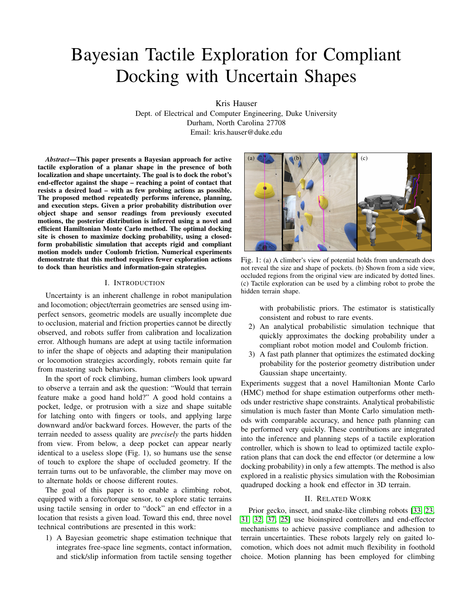$e_i(t \quad z_i)$  +  $\mu_x$ ) 0. We discuss how to do so in Sec. [IV-E.](#page-4-0) The range is a set of disjoint intervals, from which  $t$  can be sampled from using truncated Gaussian sampling routines that are widely available in scientific computing software libraries.

We finally present a constraint bouncing *Hamiltonian Monte Carlo* (HMC) method (Fig. [4.](#page-3-1)d), which has been applied to Gaussian distributions under linear and quadratic inequalities [\[24\]](#page-8-24). For each iteration, HMC treats the state as a dynamic particle subject to momentum and external force, which has a *momentum vector*  $p_0$  that is sampled independently at random. Starting from  $z_0$  $(j)$  and  $p_0$ , the method integrates the equations of motion of a dynamic particle subject to the system Hamiltonian  $H(z, p)$ , which is the sum of a potential energy  $U(z) = \log P(z)$  and a kinetic energy  $K(p)$  which is a positive definite function of  $p$ . The time evolution of the particle follow the coupled ODE:

$$
\frac{d}{dt}z = \frac{\partial H}{\partial p}, \quad \frac{d}{dt}p = \frac{\partial H}{\partial z}.
$$
 (13)

This dynamical system is reversible, and hence integration of these equations for a given timestep  $T$  to obtain a proposal state  $(z^{\ell}, p^{\ell})$  can be viewed as a Metropolis-Hastings proposal distribution. In the Gaussian case the integration greatly simplifies [\[24\]](#page-8-24). With  $log P(z) = 1/2kzk^2$  and setting  $K(p) = 1/2kpk^2$ , the equations of motion trace out an ellipsoid given by the closed form  $z(t) = z_0 \cos t + p_0 \sin t$ . Moreover, the MH acceptance probability is always 1, so a step  $z^{(j+1)} = z(t)$  can always be taken for any value of t. A recommended step size is  $t = \pi/2$  because it tends to produce low autocorrelation [\[24\]](#page-8-24).

A given step along the elliptic trajectory may violate feasibility, so a constraint bouncing method is used. This involves determining the first point in time  $t_b$  at which a constraint is violated, advancing the system to  $t<sub>b</sub>$ , and then reflecting the momentum about the gradient of that constraint. The equations of motion are then integrated forward again until another constraint is hit, or the desired timestep is reached. Again, feasible range determination is used here (Sec. [IV-E.](#page-4-0))

Note that MCMC methods must begin from a feasible initial seed. We find the seed by random descent of  $f_H$  from an initial state sampled from  $N(0, I_m)$ . If this fails after a given number of iterations, we sample another initial state and repeat.

# <span id="page-4-0"></span>*E. Feasible range determination*

Both Gibbs and HMC sampling steps determine the feasible interval set along a state space trajectory  $z(t)$ . The Gibbs method samples  $t$  from all feasible intervals along a line, while HMC t from the feasible interval containing  $t = 0$ along an ellipsoidal trajectory. An interval set is a collection of r 0 disjoint intervals  $[t_1, t_2]$  [ $[t_3, t_4]$ ] [ $[t_r, t_{r+1}]$ , with  $t_1 = 7$  and  $t_{r+1} = 7$  representing unbounded sets. Interval sets can be solved in closed form by polynomial inequalities denoting intersection with the primitive linear and quadratic constraints [\(7](#page-3-2)[–10\)](#page-3-3) and [\(12\)](#page-3-4). Fig. [5](#page-4-1) illustrates the process for a linear path and a single collision constraint.

Let us consider a general primitive constraint  $g_k(y)$  =  $y^T Q y + y^T p + r$  0, with  $y = (c_1, c_2, d_1, d_2)$  the coordinates

<span id="page-4-1"></span>

Fig. 5: (a) Given a linear search direction, vertices of the shape will be displaced simultaneously along lines. (b) The range of displacements for which the shape obeys the  $\left(\frac{\text{coll}}{\text{d}t}, \frac{\text{d}}{\text{d}t}\right)$  constraint is determined analytically.

of the vertices of an edge. The trajectory  $y(t)$  moves along a line / ellipse in  $R<sup>4</sup>$  for Gibbs / HMC respectively, since vertices are linear functions of state. We first determine a set of roots in t such that  $g_k(y(t)) = 0$  as follows.

For a linear constraint and linear trajectory  $y(t) = y_0 + vt$ , the root satisfies a linear equation  $p^{T} y_0 + tp^{T} v + r = 0$  For a quadratic constraint and linear trajectory, the roots of  $y_0^T Q y_0 +$  $2tv^TQy_0 + t^2v^TQv + p^Ty_0 + tp^Tv + r$  0 are determined by the quadratic equation.

For elliptical trajectories, we solve for roots of  $y(t)$  =  $y_0 \cos(t) + v \sin(t)$  by introducing variables  $c = \cos(t)$ ,  $s = \sin(t)$ , with  $c^2 + s^2 = 1$ . Then, a linear equality can be rewritten to yield a quadratic equation in s. Quadratic constraints can be solved to produce a degree  $4$  polynomial in  $s$ , whose roots are determined using characteristic polynomials. Each root of s yields two possible roots of  $t = \sin^{-1}(s)$ .

The roots calculated thusly split the number line into sections, and the value of the inequality on each section  $[t_i, t_{i+1}]$  could either be positive or negative. Due to numerical errors, best results are achieved by checking the value of the constraint away from the roots, e.g., at interval midpoints. The final feasible set corresponding to [\(3\)](#page-2-0) is constructed by intersecting (max operations), unioning (min operations), and taking the complement (negation) of primitive interval sets.

# *F. Empirical performance*

All methods in this paper are implemented in the Python programming language, and experiments are conducted on a single core of a 2.60GHz Intel Core i7 PC. Note that these algorithms can be almost trivially parallelized, and would also benefit from implementation in a compiled language.

Measuring sampling performance requires accounting for the autocorrelation of the sequence (particularly in the MH algorithm, as illustrated in Fig. [6\)](#page-5-0). We measure the performance of each MCMC technique by the Effective Sample Time  $(EST)$ , which estimates the amount of computation time needed to generate one effectively independent draw. EST is a function of total computation time T and Effective Sample Size *ESS* given by  $EST = T/ESS$ . Fig. [7](#page-5-1) reports performance for all four sampling techniques on three problems.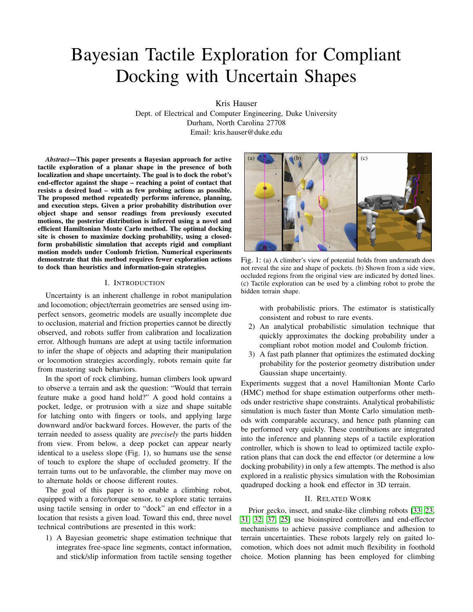<span id="page-5-0"></span>

Fig. 6: Illustrating the Sloper problem with five constraint segments. Metropolis-Hastings (MH) samples exhibit strong autocorrelation and bias in estimating the mean on the lower portion of the terrain (dotted line), while the HMC method is far less autocorrelated and biased. Each plot shows 20 samples drawn at random from sets of 1,000 and 100 samples for MH and HMC, respectively.

<span id="page-5-1"></span>

Fig. 7: Effective Sample Time for four sampling techniques (lower is better) over three problems whose constraints are increasingly restrictive. The performance of rejection sampling rapidly degrades when highly constrained, while Gibbs and HMC are more tolerant. Problem 3 is illustrated in Fig. [6.](#page-5-0)

Problems 1, 2, and 3 have 3, 3, and 5 constraints, respectively, and the fraction of the prior that obeys constraints is approximately 23%, 2.4%, and 0.2%. Rejection sampling performs best on the least restrictive problems, but HMC outperforms all other methods when highly constrained. Although each HMC sample is more costly, it achieves higher ESS because the rejection rate is 0 and autocorrelation is quite close to 0.

## V. OPTIMIZING EXPLORATION PLANS

Given a path  $p(t)$ , let  $E_d$  denote the event that docking is successful during execution, i.e.,  $f_{load}$  is resisted at the robot's stopping point. The *docking probability* is given by:

<span id="page-5-2"></span>
$$
P(E_d/p(t), H) = \int_X P(E_d/p(t), x) P(x/H) dx.
$$
 (14)

Since we assume no stochasticity in the robot's motion,  $P(E_d/p(t), x)$  is a deterministic function  $E_d(p(t), x)$  ! f0, 1g which can be determined by simulation, because the shape is known given  $x$ . The goal of the path planner is to determine  $p(t)$  starting at the current state  $p_0$  to maximize the weighted sum of  $(14)$  and an exploration bonus.

Minimizing the speed of evaluating [\(14\)](#page-5-2) is essential because the planner will need to evaluate many potential docking paths. Given the Monte Carlo samples  $x^{(1)}, \ldots, x^{(N)}$ , Eq. [\(14\)](#page-5-2) could be immediately approximated as:

<span id="page-5-3"></span>
$$
P(E_d/p(t), H) = \frac{1}{N} \sum_{i=1}^{N} E_d(p(t), x^{(i)})
$$
 (15)

which would require  $N$  deterministic simulations of the robot's motion model along the path  $p(t)$  with given shapes  $x^{(i)}$ . For a path consisting of m segments, evaluating [\(15\)](#page-5-3) is an  $O(mn)$ operation. We present a probabilistic simulation method that is more computationally efficient under the assumption that  $P(X/H)$  is well-approximated by a Gaussian distribution. This new method runs in  $O(mn)$  time per path.

Moreover, we make the assumption that resistance is only desired along the final segment of the path. Our path planner enforces that a path should terminate in a segment that crosses the expected midpoint of an edge  $e$  in the direction  $f_{load}$ . We call this the *optimal terminal segment* for e. The objective function is nearly unaffected after departing sufficiently far from the shape, so the main question is how to optimize the terminal segment so that estimated docking probability (now an  $O(n)$  operation) is maximized and the remainder of the path has nearly 0 probability of collision.

# *A. Probabilistic Simulation*

Probabilistic simulation evaluates the probability of stopping at every vertex or edge of the shape while executing a given path. Remarkably, we are able to do so *without specifying the location of the vertex or edge* under the assumption of a Gaussian shape distribution. The procedure is based on a primitive operation that simulates the execution of a compliant move along a single line segment of the path *ab*.

The method is based on summing the probability that the robot stops at a shape feature  $F$  (vertex or edge) given that it makes contact with some other feature  $F^{\theta}$ , then slides to  $F$  and gets stuck. Since the shape has a known winding, we denote these movements as "slide right" and "slide left". We assume for simplicity that the robot does not break then reacquire contact with the shape, although this method could be extended to handle such cases. Let  $l(F)$  and  $r(F)$  denote the feature immediately to the left and right of  $F$ , respectively, as viewed from the exterior. Let us also denote the primitive events  $C_F$ , where the motion collides with  $F$ ;  $K_F$ , where the motion sticks on  $F$ ;  $SL_F$ , where the motion slides left on  $F$ ; and  $SR_F$  where the motion slides right on F.

The robot stops at F (event  $S_F$ ) iff one of the following disjoint events happen:

$$
C_F \wedge K_F
$$
: collide with *F* and gets stuck, or  
\n $L_{r(F)} \wedge K_F$ : slide left from  $r(F)$  and get stuck, or  
\n $R_{l(F)} \wedge K_F$ : slide right from  $l(F)$  and get stuck.

The robot slides left from F (event  $L_F$ ) if one of the following disjoint events happen:

 $C_F \triangle S L_F$ : collide with F and slide left, or  $L_{r(F)} \triangleq SL_F$ : slide left from  $r(F)$  and slide left again.

Similarly, it slides right (event  $R_F$ ) if either  $C_F \triangle R_F$  or  $R_{I(F)}$  ^  $SR_F$  occurs. Because the events are disjoint, we have

$$
P(S_F) = P(C_F, K_F) + P(L_{r(F)}, K_F) + P(R_{l(F)}, K_F),
$$
  
\n
$$
P(L_F) = P(C_F, SL_F) + P(L_{r(F)}, SL_F),
$$
  
\n
$$
P(R_F) = P(C_F, SR_F) + P(R_{l(F)}, SR_F),
$$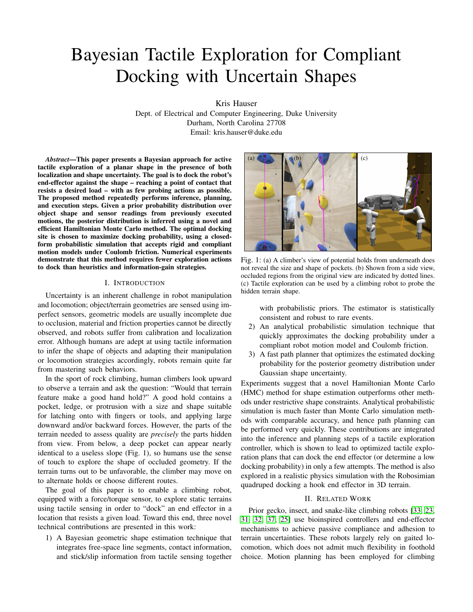<span id="page-6-2"></span>

Fig. 8: Illustrating probabilistic simulation. (a) To determine the edge collision likelihoods (illustrated as size of circles) the segment collision conditions are checked against the joint distribution over endpoints  $c$  and  $d$ . (b) Determining slide-right probabilities for three edges under compliance. The first slip occurs with moderately low probability. The second slide occurs with high probability conditional on the first slip. The third slide probability is nearly 0, since the outgoing edge is far more likely to induce a slip left.

Applying conditioning, we obtain recursive linear equations

$$
P(S_F) = P(C_F, K_F) + P(L_{r(F)})P(K_F)L_{r(F)}) + P(R_{l(F)})P(K_F,R_{l(F)})
$$
\n(16)

$$
P(L_F) = P(C_F, SL_F) + P(L_{r(F)})P(SL_F)L_{r(F)}) \quad (17)
$$

$$
P(R_F) = P(C_F, SR_F) + P(R_{I(F)})P(SR_F)R_{I(F)}.
$$
 (18)

Sections [V-A1](#page-6-0) and [V-A2](#page-6-1) describe how to calculate  $P(C_F, )$ ,  $P(jL_{r(F)})$ , and  $P(jR_{l(F)})$ , with "" standing in for a primitive event. Once calculated, the system of equations can be solved for all features of the shape in  $O(n)$  time using sparse matrix inversion. The overall probability of docking is  $\sum_{v \geq V} P(S_v) + \sum_{e \geq E} P(S_e).$ 

The system of equations can further be simplified under certain conditions. Because each vertex  $v$  has no volume,  $P(C_v) = 0$ . In a non-compliant motion model, all  $P(L_F)$ and  $P(R_F)$  probabilities are 0. In the compliant model,  $P(K_e/L_{r(e)}) = P(K_e/R_{l(e)}) = 0$  and  $P(SL_e/L_{r(e)}) =$  $P(SR_e/R_{l(e)}) = 1$  for all edges e because if a robot slips on a vertex, it will continue until the next vertex. This is because the direction of force application is constant and exceeds the available friction along the entire length of the edge.

<span id="page-6-0"></span>*1) Probability of Contact:* The probability  $P(C_e)$  that contact occurs for a edge  $e = cd$  is approximately the integrated density of  $P(c, d/H)$  restricted to the feasible set [\(7–](#page-3-2) [10\)](#page-3-3) (Fig. [8.](#page-6-2)a). Adding the stick or slip constraints adds two additional linear inequalities in the form [\(12\)](#page-3-4).

To estimate the integrated density quickly, for each edge we produce the 4-D Gaussian approximation  $P(c, d)H$ )  $N(\mu_{cd}, \tau_{cd})$ . We linearize the quadratic term of [\(7](#page-3-2)[,8\)](#page-3-5) about  $y = \mu_{cd}$  and produces 6 linear inequalities of the form  $Ay + b$  0 with  $y = (c_1, c_2, d_1, d_2)$ . We approximate the probability that the inequalities are satisfied by assuming independence of three pairs of inequalities, but allowing dependence in each pair. To calculate that the probability that a pair of inequalities  $a_1^T y + b_1$  0 and  $a_2^T y + b_2$  0 are mutually satisfied, we define  $A_{12} = [a_1 a_2]^T$  and  $b_{12} = [b_1 b_2]^T$ and transform the endpoint distribution to a bivariate Gaussian  $N(A_{12}\mu_{cd} + b_{12}, A_{12} \text{ }_{cd}A_{12}^{T})$  and evaluate the probability integral over the quadrant  $(1, 0]$   $(1, 0]$ . This evaluation can be done accurately using a low degree quadrature [\[6\]](#page-8-25).

<span id="page-6-1"></span>2) Probability of sticking/sliding: The stick event  $K_V$  at a vertex  $v$  is equivalent to a cone condition at the extrema of the friction cones of the outgoing edges  $r(v) = \overline{vw}$  and  $l(v) = \overline{uv}$ .

$$
\stackrel{\scriptstyle b}{ba} 2Cone(\stackrel{\scriptstyle b}{w}v^2 + \mu\stackrel{\scriptstyle b}{w}v, \stackrel{\scriptstyle b}{v}u^2 - \mu\stackrel{\scriptstyle b}{v}u). \tag{19}
$$

 $SL_v$  is equivalent to  $\stackrel[ba\ 2\ Cone\langle \stackrel{b}{vu}^2-\mu \stackrel{b}{vu},-\stackrel{b}{vu}),$  and  $SR_v$  $b_{LV}$  is equivalent to  $ba \geq Cone(\psi v, \psi v^2 + \mu \psi v)$ . As before, cones are transformed to inequalities in  $u$ ,  $v$ , and  $w$  (Fig. [8.](#page-6-2)b).

Independence is not appropriate to assume in  $P(K_v/L_{\Gamma(v)})$ and  $P(K_v/R_{I(v)})$ , because sliding provides significant information about the normal of the originating edge. Specifically, if  $L_{r(y)}$  occurs, then it is certain that ba  $\ell$  Cone( $\psi v^2$  +  $\mu wv, wv^2 \mu wv$ . Hence, for  $K_v$  to occur after a left slip, the more restrictive condition ba  $2 Cone(wv^2 - \mu wv, w^2 + \mu wv, w^2 + \mu wv)$  $\mu v u^2$ ) must be satisfied. Similarly, for  $K_v$  to occur after  $R_{l(v)}$ ,  $\int_{b}^{\infty}$  a  $\int$  must be satisfied. Binimary,  $\int_{c}^{\infty}$  if  $\int_{c}^{\infty}$  obsets attention,  $\int_{c}^{\infty}$ ,  $\int_{c}^{\infty}$ ,  $\int_{c}^{\infty}$  and  $\int_{c}^{\infty}$  be satisfied. Ignoring long-range dependencies, we approximate  $P(K_v/L_{\Gamma(v)})$  $P(K_{V}/SL_{r(V)}) = P(K_{V}, SL_{r(V)})/P(SL_{r(V)})$ .

We apply the same conditional dependency to rightward sliding and continued sliding.  $P(SL_v, SL_{r(v)})$  is evaluated using the constraints  $ba^{2T} \overline{w}^2 + \mu \overline{w}^2 = 0$  and  $ba^{2T} \overline{w}^2 +$  $\mu \nu u$  0. This is exact as long as  $\overline{vw}$  does not turn to the left of  $\overline{ab}$ , e.g., the robot does not separate from the shape at v.

*3) Illustration:* Fig. [9](#page-7-0) plots the simulated distributions for both non-compliant and compliant docking on the 3 Ledges example. Lines give the sticking probability for three different candidate sites. Observe that without compliance, the probability of sticking at any vertex is zero, but with compliance, the end effector can slide after making contact, which increases the overall probability of docking.

# *B. Optimal Path Planning*

Let  $P$  denote the set of previously executed paths. The overall objective function adds to the docking probability an exploration bonus term as follows:

$$
J(p) = P(E_d/p, H)B\left(\frac{1}{w} \min_{p \ge P} d(p, p^{\theta})\right) \tag{20}
$$

where w is the bonus weight and  $d(p, p^0)$  measures some notion of path-wise distance. We set  $d(p, p^{\theta})$  to measure the distance between endpoints of the terminal segments of the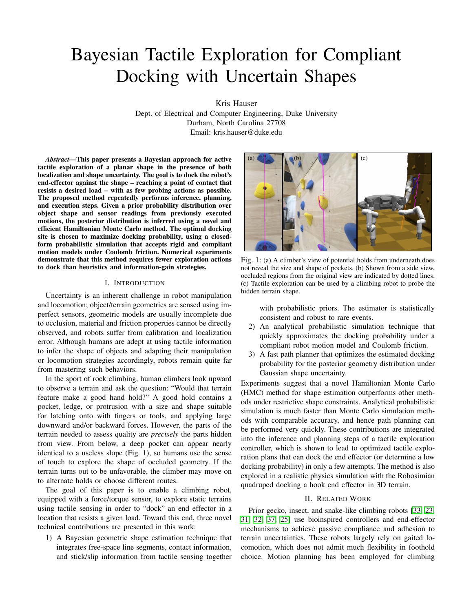<span id="page-7-0"></span>

Fig. 9: Probabilistic simulation with non-compliant and linearly compliant motion. The shape distribution is the same as in Fig. [6,](#page-5-0) but only the mean shape is shown. Three docking sites are chosen, and probability of sticking on nearby features is drawn as horizontally offset lines. Circles are shaded by the probability of docking in a horizontal loading direction, if aimed through the center of circle.

paths. The bonus factor  $B(z) = 1$  exp( z) transforms the domain  $[0, 7)$  to  $[0,1]$ , with 0 denoting low novelty (e.g.,  $d(p, p^0) = 0$  and 1 denoting high novelty. Setting  $w = 0$ leads to a greedy approach, but having a small weight helps account for sensor noise and errors in the inference model. We set w equal to the spatial resolution of the contact detector.

The planner maintains an optimal path  $p^2$ , docking probability  $P_{\text{clock}}^2$ , and function value  $J^2$ , and proceeds as follows:

- 1) Initialize  $p^2$ <sup>2</sup> *nil*,  $P_{\text{clock}}^2$  0, and  $J^2$  1.
- 2) For each edge in order of increasing  $P(C_e, K_e)$  for e's optimal terminal segment, repeat:
- 3) Perform docking probability estimation. If  $P(S_e) < P_{\text{clock}}^2$  or  $J(p) < J^2$ , it cannot be optimal, so skip to the next edge.
- 4) Plan a collision-free path  $p$  ending in  $e$ . If successful, store  $p^2$  p,  $P_{\text{clock}}^2$   $P(S_e)$ , and  $J^2$   $J(p)$ .

In Step 4, we first establish a *likely obstacle region* (LOR), a free-space region in which collision has moderate probability. Its complement is the *unlikely obstacle region* (UOR). LOR is obtained by taking convex hulls of each edge over the shape estimation samples, and then performing a union operation. The planner works backward from the terminal point, which lies in LOR. It first finds a path to the boundary of LOR, starting in direction  $f_{load}$ , while maintaining the invariant that clearance away from the mean shape is monotonically increasing [\[35\]](#page-9-9). Once the path exits LOR, it plans a path to the start point using UOR as free-space. Shortest paths through UOR can be planned to all vertices of LOR quickly using standard methods, e.g., a visibility graph. **EVALUAT SET AS THE SET AS THE SET AND SET AND THE SET AS THE SET AND THE PART AND THE SET AND THE SET AND THE SET AND THE SET AND THE SET AND THE SET AND THE SET AND THE SET AND THE SET AND THE SET AND THE SET AND THE SE** 

## *C. Experimental results*

Fig. [10](#page-7-1) shows the docking success rate and cycle count on three problems, where 10 ground truth shapes are sampled at random. In Sloper, only 5/10 ground truth shapes had a feasible solution. Our technique is compared with 1) a growing-window (GW) technique that starts at the site the

<span id="page-7-1"></span>

Fig. 10: Docking success rate and number of execution cycles in three problems, over 10 randomly sampled ground truth shapes. The growing-window (GW) heuristic fails in many instances. The information-gain strategy (IG) and our technique (Ours), both using our shape estimator, are more successful. Ours uses fewer execution cycles than both GW and IG. (\*: ground truth success rate. Error bars: cycle count std. dev. Dots: max cycles.)

increasingly distant sites, and 2) an information-gain (IG) technique that alternates between one greedy docking step and two information-gain steps, using our HMC estimator to determine a shape distribution. The same path planner is used for all techniques. Note that the standard deviation for cycle count is generally high, since some instances are solved luckily on the first try, while others require dozens of cycles. Our method never failed on a feasible instance, and found a solution with fewer executions than GW or IG. Also, the modest cycle count on Sloper indicates that our method terminates quickly on infeasible problems by correctly estimating a low likelihood of feasibility.

Supplemental videos at [http://motion.pratt.duke.edu/](http://motion.pratt.duke.edu/locomotion/tactile.html) [locomotion/tactile.html](http://motion.pratt.duke.edu/locomotion/tactile.html) show our technique in action with a model of the Robosimian robot and a 3D climbing wall scan generated via photogrammetry in a realistic physics simulation (Fig. 1). Given a simulated noisy vertical laser scan, our technique generates docking trajectories for a hook end effector along a 2D plane. An operational space controller performs guarded moves using a force sensor to detect collision. The tactile exploration method attempts to dock at multiple sites in response to failed docking moves.

# VI. CONCLUSION

This paper presented a Bayesian tactile exploration controller for docking a point against uncertain shapes. Its two technical contributions include 1) Hamilton Monte Carlo shape sampling, which outperforms other sampling methods, and 2) a probabilistic simulator that quickly computes probability of docking for Gaussian shape models under compliance and friction. The resulting controller is reliable and usually requires few cycles to localize docking sites. In ongoing work, we are attempting to evaluate this technique on the physical Robosimian robot. Future work may consider generalization to other geometric representations, such as point clouds, occupancy grids, and 3D meshes.

## ACKNOWLEDGMENT

The author would like to thank Hayden Bader, Gao Tang, and Changrak Choi for helping proofread this manuscript. This research was supported by NSF NRI grant #1527826.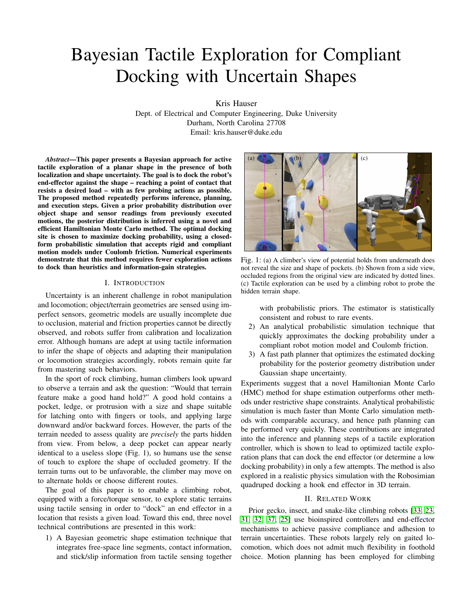#### REFERENCES

- <span id="page-8-2"></span>[1] T. Bretl. Motion planning of multi-limbed robots subject to equilibrium constraints: The free-climbing robot problem. *Int'l. Journal of Robotics Research*, 25(4):317–342, 2006.
- <span id="page-8-6"></span>[2] S. Chitta, P. Vemaza, R. Geykhman, and D. D. Lee. Proprioceptive localilzatilon for a quadrupedal robot on known terrain. In *IEEE Int'l. Conf. on Robotics and Automation*, pages 4582–4587. IEEE, 2007.
- <span id="page-8-15"></span>[3] V. N. Christopoulos and P. Schrater. Handling shape and contact location uncertainty in grasping two-dimensional planar objects. In *IEEE/RSJ Int'l. Conf. Intel. Robots and Systems*, pages 1557–1563, Oct 2007. doi: 10.1109/ IROS.2007.4399509.
- <span id="page-8-11"></span>[4] S. Dragiev, M. Toussaint, and M. Gienger. Gaussian process implicit surfaces for shape estimation and grasping. In *IEEE Int'l. Conf. on Robotics and Automation*, pages 2845–2850. IEEE, 2011.
- <span id="page-8-18"></span>[5] S. Dragiev, M. Toussaint, and M. Gienger. Uncertainty aware grasping and tactile exploration. In *IEEE Int'l. Conf. on Robotics and Automation*, pages 113–119. IEEE, 2013.
- <span id="page-8-25"></span>[6] Z. Drezner and G. O. Wesolowsky. On the computation of the bivariate normal integral. *Journal of Statistical Computation and Simulation*, 35(1-2):101–107, 1990.
- <span id="page-8-3"></span>[7] M. F. Fallon, M. Antone, N. Roy, and S. Teller. Drift-free humanoid state estimation fusing kinematic, inertial and lidar sensing. In *IEEE-RAS Int'l. Conf. on Humanoid Robots (Humanoids)*, pages 112–119. IEEE, 2014.
- <span id="page-8-13"></span>[8] W. E. L. Grimson and T. Lozano-Perez. Model-based recognition and localization from sparse range or tactile data. *Int'l. Journal of Robotics Research*, 3(3):3–35, 1984.
- [9] R. Hadsell, J. A. Bagnell, D. F. Huber, and M. Hebert. Accurate rough terrain estimation with space-carving kernels. In *Robotics: Science and Systems*, volume 2009, 2009.
- <span id="page-8-17"></span>[10] P. Hebert, T. Howard, N. Hudson, J. Ma, and J. W. Burdick. The next best touch for model-based localization. In *IEEE Int'l. Conf. on Robotics and Automation*, pages 99–106, 05 2013. ISBN 978-1-4673-5641-1.
- <span id="page-8-4"></span>[11] M. A. Hoepflinger, C. D. Remy, M. Hutter, L. Spinello, and R. Siegwart. Haptic terrain classification for legged robots. In *IEEE Int'l. Conf. on Robotics and Automation*, pages 2828–2833. IEEE, 2010.
- <span id="page-8-7"></span>[12] M. A. Hoepflinger, M. Hutter, C. Gehring, M. Bloesch, and R. Siegwart. Unsupervised identification and prediction of foothold robustness. In *IEEE Int'l. Conf. on Robotics and Automation*, pages 3293–3298. IEEE, 2013.
- <span id="page-8-19"></span>[13] K. Hsiao, L. Kaelbling, and T. Lozano-Pérez. Task-driven tactile exploration. In *Robotics: Science and Systems*, 2010.
- <span id="page-8-16"></span>[14] K. Hsiao, M. Ciocarlie, P. Brook, et al. Bayesian grasp planning. In *ICRA 2011 Workshop on Mobile Manipulation: Integrating Perception and Manipulation*,

2011.

- <span id="page-8-5"></span>[15] J. Ilonen, J. Bohg, and V. Kyrki. Fusing visual and tactile sensing for 3-d object reconstruction while grasping. In *IEEE Int'l. Conf. on Robotics and Automation*, pages 3547–3554. IEEE, 2013.
- <span id="page-8-22"></span>[16] P. Kazanzides, J. Zuhars, B. Mittelstadt, and R. H. Taylor. Force sensing and control for a surgical robot. In *IEEE Int'l. Conf. on Robotics and Automation*, pages 612–617. IEEE, 1992.
- <span id="page-8-23"></span>[17] J. H. Kotecha and P. M. Djuric. Gibbs sampling approach for generation of truncated multivariate gaussian random variables. In *Acoustics, Speech, and Signal Processing, 1999. Proceedings., 1999 IEEE International Conference on*, volume 3, pages 1757–1760. IEEE, 1999.
- <span id="page-8-20"></span>[18] M. C. Koval, N. S. Pollard, and S. S. Srinivasa. Preand post-contact policy decomposition for planar contact manipulation under uncertainty. *Int'l. Journal of Robotics Research*, 35(1-3):244–264, 2016. doi: 10. 1177/0278364915594474. URL [https://doi.org/10.1177/](https://doi.org/10.1177/0278364915594474) [0278364915594474.](https://doi.org/10.1177/0278364915594474)
- <span id="page-8-14"></span>[19] M. C. Koval, M. Klingensmith, S. S. Srinivasa, N. Pollard, and M. Kaess. The manifold particle filter for state estimation on high-dimensional implicit manifolds. In *IEEE Int'l. Conf. on Robotics and Automation*, May 2017.
- <span id="page-8-12"></span>[20] M. Li, K. Hang, D. Kragic, and A. Billard. Dexterous grasping under shape uncertainty. *Robotics and Autonomous Systems*, 75:352–364, 2016.
- <span id="page-8-10"></span>[21] R. Li, R. Platt, W. Yuan, A. ten Pas, N. Roscup, M. A. Srinivasan, and E. Adelson. Localization and manipulation of small parts using gelsight tactile sensing. In *IEEE/RSJ Int'l. Conf. Intel. Robots and Systems*, pages 3988–3993. IEEE, 2014.
- <span id="page-8-9"></span>[22] M. Meier, M. Schopfer, R. Haschke, and H. Ritter. A probabilistic approach to tactile shape reconstruction. *IEEE Transactions on Robotics*, 27(3):630–635, June 2011. ISSN 1552-3098. doi: 10.1109/TRO.2011. 2120830.
- <span id="page-8-0"></span>[23] M. P. Murphy, B. Aksak, and M. Sitti. Gecko-inspired directional and controllable adhesion. *Small*, 5(2):170– 175, 2009.
- <span id="page-8-24"></span>[24] A. Pakman and L. Paninski. Exact hamiltonian monte carlo for truncated multivariate gaussians. *Journal of Computational and Graphical Statistics*, 23(2):518–542, 2014.
- <span id="page-8-1"></span>[25] A. Parness. Anchoring foot mechanisms for sampling and mobility in microgravity. In *IEEE Int'l. Conf. on Robotics and Automation*, pages 6596–6599. IEEE, 2011.
- <span id="page-8-21"></span>[26] S. Patil, J. Van Den Berg, and R. Alterovitz. Estimating probability of collision for safe motion planning under gaussian motion and sensing uncertainty. In *IEEE Int'l. Conf. on Robotics and Automation*, pages 3238–3244. IEEE, 2012.
- <span id="page-8-8"></span>[27] A. Petrovskaya and O. Khatib. Global localization of objects via touch. *IEEE Trans. Robotics*, 27(3):569–585, June 2011. ISSN 1552-3098. doi: 10.1109/TRO.2011.